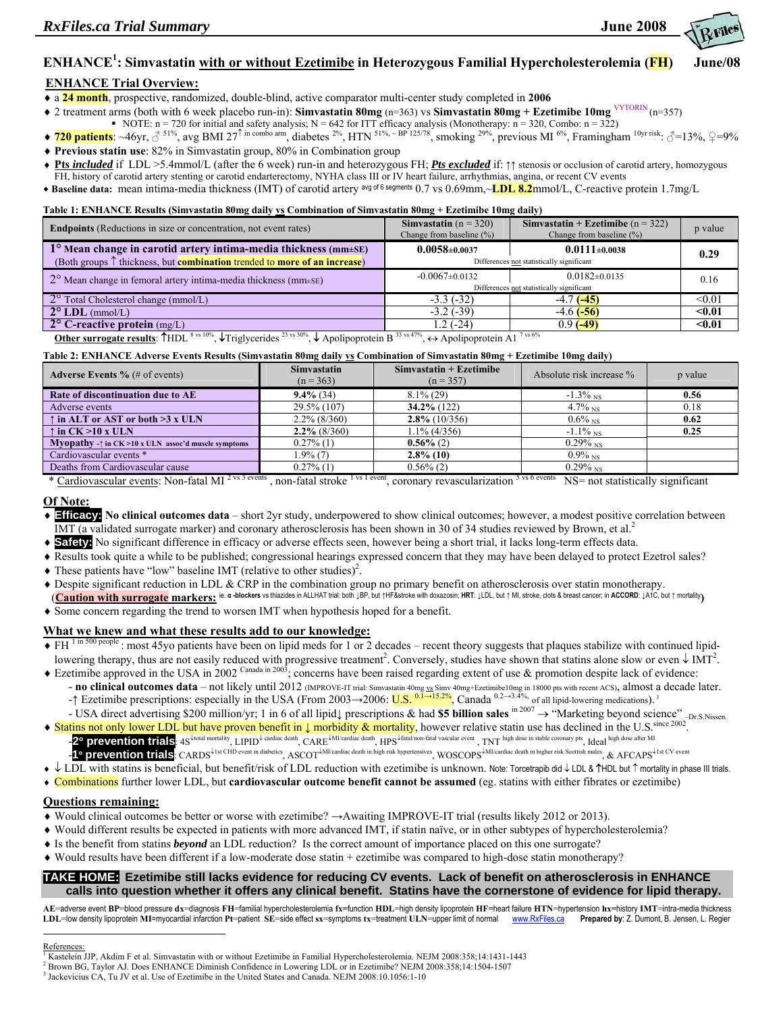

# **ENHANCE1 : Simvastatin with or without Ezetimibe in Heterozygous Familial Hypercholesterolemia (FH) June/08**

## **ENHANCE Trial Overview:**

♦ a **24 month**, prospective, randomized, double-blind, active comparator multi-center study completed in **2006**

- ♦ 2 treatment arms (both with 6 week placebo run-in): **Simvastatin 80mg** (n=363) vs **Simvastatin 80mg + Ezetimibe 10mg** VYTORIN (n=357)
- NOTE:  $n = 720$  for initial and safety analysis;  $N = 642$  for ITT efficacy analysis (Monotherapy:  $n = 320$ , Combo:  $n = 322$ )
- $\bullet$  **720 patients**: ~46yr, ♂ <sup>51%</sup>, avg BMI 27<sup>↑ in combo arm, diabetes <sup>2%</sup>, HTN <sup>51%, ~ BP 125/78</sup>, smoking <sup>29%</sup>, previous MI <sup>6%</sup>, Framingham <sup>10yr risk:</sup> ♂=13%, ♀=9%</sup>
- ♦ **Previous statin use**: 82% in Simvastatin group, 80% in Combination group
- ♦ **Pts** *included* if LDL >5.4mmol/L (after the 6 week) run-in and heterozygous FH; *Pts excluded* if: ↑↑ stenosis or occlusion of carotid artery, homozygous
- FH, history of carotid artery stenting or carotid endarterectomy, NYHA class III or IV heart failure, arrhythmias, angina, or recent CV events  **Baseline data:** mean intima-media thickness (IMT) of carotid artery avg of 6 segments 0.7 vs 0.69mm,~**LDL 8.2**mmol/L, C-reactive protein 1.7mg/L

**Table 1: ENHANCE Results (Simvastatin 80mg daily vs Combination of Simvastatin 80mg + Ezetimibe 10mg daily)** 

| <b>Endpoints</b> (Reductions in size or concentration, not event rates)                                                                                                                                      | Simvastatin ( $n = 320$ )<br>Change from baseline $(\%)$ | Simvastatin + Ezetimibe ( $n = 322$ )<br>Change from baseline $(\% )$ | p value |  |  |
|--------------------------------------------------------------------------------------------------------------------------------------------------------------------------------------------------------------|----------------------------------------------------------|-----------------------------------------------------------------------|---------|--|--|
| 1° Mean change in carotid artery intima-media thickness (mm+SE)                                                                                                                                              | $0.0058 \pm 0.0037$                                      | $0.0111 \pm 0.0038$                                                   | 0.29    |  |  |
| (Both groups $\uparrow$ thickness, but <b>combination</b> trended to <b>more of an increase</b> )                                                                                                            | Differences not statistically significant                |                                                                       |         |  |  |
| $2^{\circ}$ Mean change in femoral artery intima-media thickness (mm $\pm$ SE)                                                                                                                               | $-0.0067 \pm 0.0132$                                     | $0.0182 \pm 0.0135$                                                   | 0.16    |  |  |
|                                                                                                                                                                                                              | Differences not statistically significant                |                                                                       |         |  |  |
| 2° Total Cholesterol change (mmol/L)                                                                                                                                                                         | $-3.3(-32)$                                              | $-4.7$ $(-45)$                                                        | < 0.01  |  |  |
| $2^{\circ}$ LDL (mmol/L)                                                                                                                                                                                     | $-3.2$ ( $-39$ )                                         | $-4.6$ ( $-56$ )                                                      | $0.01$  |  |  |
| $2^{\circ}$ C-reactive protein (mg/L)                                                                                                                                                                        | 1.2 (-24)                                                | $0.9$ (-49)                                                           | $0.01$  |  |  |
| Other surrogate results: $\uparrow$ HDL <sup>8 vs 10%</sup> , $\downarrow$ Triglycerides <sup>23 vs 30%</sup> , $\downarrow$ Apolipoprotein B <sup>33 vs 47%</sup> ,<br>Apolipoprotein A1 <sup>7 vs 6%</sup> |                                                          |                                                                       |         |  |  |

#### **Table 2: ENHANCE Adverse Events Results (Simvastatin 80mg daily vs Combination of Simvastatin 80mg + Ezetimibe 10mg daily)**

|                                                                      | - -                               |                                          | - -                      |         |
|----------------------------------------------------------------------|-----------------------------------|------------------------------------------|--------------------------|---------|
| <b>Adverse Events</b> % (# of events)                                | <b>Simvastatin</b><br>$(n = 363)$ | $Simvastatin + Exetimibe$<br>$(n = 357)$ | Absolute risk increase % | p value |
| Rate of discontinuation due to AE                                    | $9.4\%$ (34)                      | $8.1\%$ (29)                             | $-1.3\%$ NS              | 0.56    |
| Adverse events                                                       | 29.5% (107)                       | $34.2\%$ (122)                           | $4.7\%$ NS               | 0.18    |
| $\uparrow$ in ALT or AST or both >3 x ULN                            | $2.2\%$ (8/360)                   | $2.8\%$ (10/356)                         | $0.6\%$ NS               | 0.62    |
| $\uparrow$ in CK >10 x ULN                                           | $2.2\%$ (8/360)                   | $1.1\%$ (4/356)                          | $-1.1\%$ NS              | 0.25    |
| <b>Myopathy</b> - $\uparrow$ in CK >10 x ULN assoc'd muscle symptoms | $0.27\%$ (1)                      | $0.56\%$ (2)                             | $0.29\%$ <sub>NS</sub>   |         |
| Cardiovascular events *                                              | 1.9% (7)                          | $2.8\%$ (10)                             | $0.9\%$ <sub>NS</sub>    |         |
| Deaths from Cardiovascular cause                                     | $0.27\%$ (1)                      | $0.56\%$ (2)                             | $0.29\%$ <sub>NS</sub>   |         |

\* Cardiovascular events: Non-fatal MI<sup>2 vs 3 events</sup>, non-fatal stroke <sup>1 vs 1 event</sup>, coronary revascularization <sup>5 vs 6 events</sup> NS= not statistically significant

### **Of Note:**

- ♦ **Efficacy: No clinical outcomes data** short 2yr study, underpowered to show clinical outcomes; however, a modest positive correlation between IMT (a validated surrogate marker) and coronary atherosclerosis has been shown in 30 of 34 studies reviewed by Brown, et al.<sup>2</sup>
- ♦ **Safety:** No significant difference in efficacy or adverse effects seen, however being a short trial, it lacks long-term effects data.
- ♦ Results took quite a while to be published; congressional hearings expressed concern that they may have been delayed to protect Ezetrol sales?
- $\blacklozenge$  These patients have "low" baseline IMT (relative to other studies)<sup>2</sup>.
- ♦ Despite significant reduction in LDL & CRP in the combination group no primary benefit on atherosclerosis over statin monotherapy. (Caution with surrogate markers: ie. a -blockers vs thiazides in ALLHAT trial: both JBP, but †HF&stroke with doxazosin; HRT: JLDL, but ↑ MI, stroke, clots & breast cancer; in ACCORD: JA1C, but ↑ mortality
- ♦ Some concern regarding the trend to worsen IMT when hypothesis hoped for a benefit.

### **What we knew and what these results add to our knowledge:**

- ◆ FH<sup>1 in 500 people</sup> : most 45yo patients have been on lipid meds for 1 or 2 decades recent theory suggests that plaques stabilize with continued lipidlowering therapy, thus are not easily reduced with progressive treatment<sup>2</sup>. Conversely, studies have shown that statins alone slow or even  $\downarrow$  IMT<sup>2</sup>.
- ◆ Ezetimibe approved in the USA in 2002 Canada in 2003; concerns have been raised regarding extent of use & promotion despite lack of evidence: - **no clinical outcomes data** – not likely until 2012 (IMPROVE-IT trial: Simvastatin 40mg vs Simv 40mg+Ezetimibe10mg in 18000 pts with recent ACS), almost a decade later.
- -↑ Ezetimibe prescriptions: especially in the USA (From 2003→2006: U.S. <sup>0.1→15.2%</sup>, Canada <sup>0.2→3.4%,</sup> of all lipid-lowering medications).<sup>3</sup>
- USA direct advertising \$200 million/yr; 1 in 6 of all lipid↓ prescriptions & had **\$5 billion sales** in 2007 → "Marketing beyond science" –Dr.S.Nissen.
- ◆ Statins not only lower LDL but have proven benefit in ↓ morbidity & mortality, however relative statin use has declined in the U.S. since 2002. -2° prevention trials: 4S<sup>↓total mortality<sub>,</sub> LIPID<sup>↓</sup> cardiac death, CARE<sup>↓MI/cardiac death, HPS<sup>↓fatal/non-fatal vascular event</sup>, TNT high dose in stable coronary pts<sub>,</sub> Ideal high dose after MI</sup></sup> -**1**° **prevention trials**: CARDS<sup>↓</sup>1st CHD event in diabetics, ASCOT<sup>↓</sup>MI/cardiac death in high risk hypertensives, WOSCOPS<sup>↓</sup>MI/cardiac death in higher risk Scottish males, & AFCAPS<sup>↓</sup>1st CV event
- ♦ ↓ LDL with statins is beneficial, but benefit/risk of LDL reduction with ezetimibe is unknown. Note: Torcetrapib did ↓ LDL & ↑HDL but ↑ mortality in phase III trials.
- ♦ Combinations further lower LDL, but **cardiovascular outcome benefit cannot be assumed** (eg. statins with either fibrates or ezetimibe)

# **Questions remaining:**

- ♦ Would clinical outcomes be better or worse with ezetimibe? →Awaiting IMPROVE-IT trial (results likely 2012 or 2013).
- ♦ Would different results be expected in patients with more advanced IMT, if statin naïve, or in other subtypes of hypercholesterolemia?
- ♦ Is the benefit from statins *beyond* an LDL reduction? Is the correct amount of importance placed on this one surrogate?
- ♦ Would results have been different if a low-moderate dose statin + ezetimibe was compared to high-dose statin monotherapy?

# **TAKE HOME: Ezetimibe still lacks evidence for reducing CV events. Lack of benefit on atherosclerosis in ENHANCE calls into question whether it offers any clinical benefit. Statins have the cornerstone of evidence for lipid therapy.**

AE=adverse event BP=blood pressure dx=diagnosis FH=familial hypercholesterolemia fx=function HDL=high density lipoprotein HF=heart failure HTN=hypertension hx=history IMT=intra-media thickness LDL=low density lipoprotein MI=myocardial infarction Pt=patient SE=side effect sx=symptoms tx=treatment ULN=upper limit of normal www.RxFiles.ca Prepared by: Z. Dumont, B. Jensen, L. Regier  $\overline{a}$ 

#### References:

<sup>&</sup>lt;sup>1</sup> Kastelein JJP, Akdim F et al. Simvastatin with or without Ezetimibe in Familial Hypercholesterolemia. NEJM 2008:358;14:1431-1443<br><sup>2</sup> Peaum BC, Taylar AJ, Dass ENUANCE Diminish Confidence in Laurenting J, DJ, et in Eas

<sup>&</sup>lt;sup>2</sup> Brown BG, Taylor AJ. Does ENHANCE Diminish Confidence in Lowering LDL or in Ezetimibe? NEJM 2008:358;14:1504-1507

<sup>&</sup>lt;sup>3</sup> Jackevicius CA, Tu JV et al. Use of Ezetimibe in the United States and Canada. NEJM 2008:10.1056:1-10